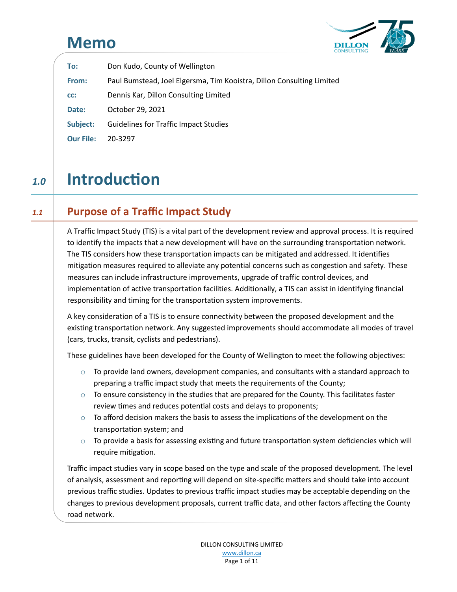# **Memo** Memo



| To:              | Don Kudo, County of Wellington                                        |  |
|------------------|-----------------------------------------------------------------------|--|
| From:            | Paul Bumstead, Joel Elgersma, Tim Kooistra, Dillon Consulting Limited |  |
| CC:              | Dennis Kar, Dillon Consulting Limited                                 |  |
| Date:            | October 29, 2021                                                      |  |
| Subject:         | <b>Guidelines for Traffic Impact Studies</b>                          |  |
| <b>Our File:</b> | 20-3297                                                               |  |

# *1.0* **Introduction** 1.0 Introduction

## *1.1* **Purpose of a Traffic Impact Study** 1.1 Purpose of a Traffic Impact Study

A Traffic Impact Study (TIS) is a vital part of the development review and approval process. It is required to identify the impacts that a new development will have on the surrounding transportation network. The TIS considers how these transportation impacts can be mitigated and addressed. It identifies mitigation measures required to alleviate any potential concerns such as congestion and safety. These measures can include infrastructure improvements, upgrade of traffic control devices, and implementation of active transportation facilities. Additionally, a TIS can assist in identifying financial responsibility and timing for the transportation system improvements.

A key consideration of a TIS is to ensure connectivity between the proposed development and the existing transportation network. Any suggested improvements should accommodate all modes of travel (cars, trucks, transit, cyclists and pedestrians).

These guidelines have been developed for the County of Wellington to meet the following objectives:

- $\circ$  To provide land owners, development companies, and consultants with a standard approach to preparing a traffic impact study that meets the requirements of the County;
- $\circ$  To ensure consistency in the studies that are prepared for the County. This facilitates faster review times and reduces potential costs and delays to proponents;
- $\circ$  To afford decision makers the basis to assess the implications of the development on the transportation system; and
- $\circ$  To provide a basis for assessing existing and future transportation system deficiencies which will require mitigation.

Traffic impact studies vary in scope based on the type and scale of the proposed development. The level of analysis, assessment and reporting will depend on site-specific matters and should take into account previous traffic studies. Updates to previous traffic impact studies may be acceptable depending on the changes to previous development proposals, current traffic data, and other factors affecting the County road network.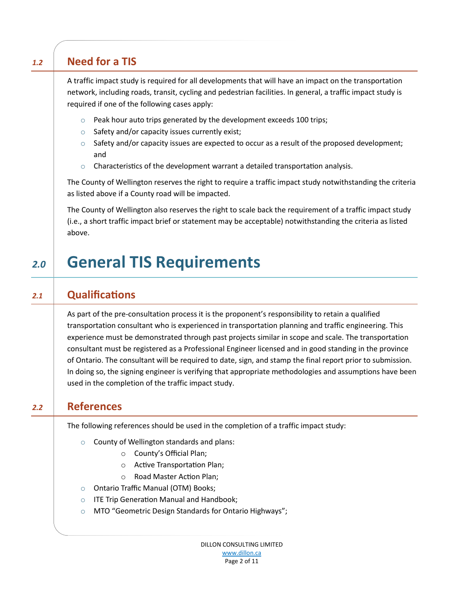# *1.2* **Need for a TIS** 1.2 Need for a TIS

A traffic impact study is required for all developments that will have an impact on the transportation network, including roads, transit, cycling and pedestrian facilities. In general, a traffic impact study is required if one of the following cases apply:

- $\circ$  Peak hour auto trips generated by the development exceeds 100 trips;
- o Safety and/or capacity issues currently exist;
- $\circ$  Safety and/or capacity issues are expected to occur as a result of the proposed development; and
- $\circ$  Characteristics of the development warrant a detailed transportation analysis.

The County of Wellington reserves the right to require a traffic impact study notwithstanding the criteria as listed above if a County road will be impacted.

The County of Wellington also reserves the right to scale back the requirement of a traffic impact study (i.e., a short traffic impact brief or statement may be acceptable) notwithstanding the criteria as listed above.

# 2.0 General TIS Requirements

# *2.1* **Qualifications** 2.1 Qualifications

As part of the pre-consultation process it is the proponent's responsibility to retain a qualified transportation consultant who is experienced in transportation planning and traffic engineering. This experience must be demonstrated through past projects similar in scope and scale. The transportation consultant must be registered as a Professional Engineer licensed and in good standing in the province of Ontario. The consultant will be required to date, sign, and stamp the final report prior to submission. In doing so, the signing engineer is verifying that appropriate methodologies and assumptions have been used in the completion of the traffic impact study.

#### *2.2* **References** 2.2 References

The following references should be used in the completion of a traffic impact study:

- o County of Wellington standards and plans:
	- o County's Official Plan;
	- o Active Transportation Plan;
	- o Road Master Action Plan;
- o Ontario Traffic Manual (OTM) Books;
- $\circ$  ITE Trip Generation Manual and Handbook;
- o MTO "Geometric Design Standards for Ontario Highways";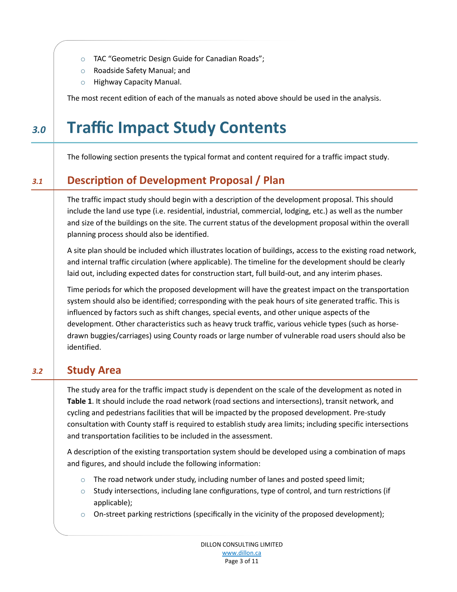- o TAC "Geometric Design Guide for Canadian Roads";
- o Roadside Safety Manual; and
- o Highway Capacity Manual.

The most recent edition of each of the manuals as noted above should be used in the analysis.

# *3.0* **Traffic Impact Study Contents** 3.0 Traffic Impact Study Contents

The following section presents the typical format and content required for a traffic impact study.

# *3.1* **Description of Development Proposal / Plan** 3.1 Description of Development Proposal / Plan

The traffic impact study should begin with a description of the development proposal. This should include the land use type (i.e. residential, industrial, commercial, lodging, etc.) as well as the number and size of the buildings on the site. The current status of the development proposal within the overall planning process should also be identified.

A site plan should be included which illustrates location of buildings, access to the existing road network, and internal traffic circulation (where applicable). The timeline for the development should be clearly laid out, including expected dates for construction start, full build-out, and any interim phases.

Time periods for which the proposed development will have the greatest impact on the transportation system should also be identified; corresponding with the peak hours of site generated traffic. This is influenced by factors such as shift changes, special events, and other unique aspects of the development. Other characteristics such as heavy truck traffic, various vehicle types (such as horsedrawn buggies/carriages) using County roads or large number of vulnerable road users should also be identified.

# **3.2** Study Area

The study area for the traffic impact study is dependent on the scale of the development as noted in **Table 1**. It should include the road network (road sections and intersections), transit network, and cycling and pedestrians facilities that will be impacted by the proposed development. Pre-study consultation with County staff is required to establish study area limits; including specific intersections and transportation facilities to be included in the assessment.

A description of the existing transportation system should be developed using a combination of maps and figures, and should include the following information:

- $\circ$  The road network under study, including number of lanes and posted speed limit;
- $\circ$  Study intersections, including lane configurations, type of control, and turn restrictions (if applicable);
- $\circ$  On-street parking restrictions (specifically in the vicinity of the proposed development);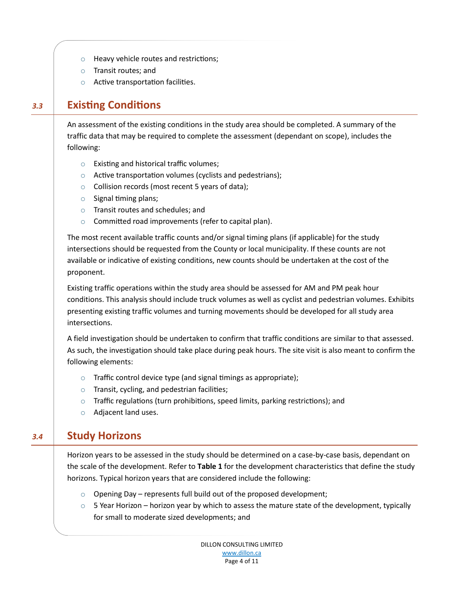- o Heavy vehicle routes and restrictions;
- o Transit routes; and
- o Active transportation facilities.

## *3.3* **Existing Conditions** 3.3 Existing Conditions

An assessment of the existing conditions in the study area should be completed. A summary of the traffic data that may be required to complete the assessment (dependant on scope), includes the following:

- o Existing and historical traffic volumes;
- $\circ$  Active transportation volumes (cyclists and pedestrians);
- $\circ$  Collision records (most recent 5 years of data);
- $\circ$  Signal timing plans;
- o Transit routes and schedules; and
- o Committed road improvements (refer to capital plan).

The most recent available traffic counts and/or signal timing plans (if applicable) for the study intersections should be requested from the County or local municipality. If these counts are not available or indicative of existing conditions, new counts should be undertaken at the cost of the proponent.

Existing traffic operations within the study area should be assessed for AM and PM peak hour conditions. This analysis should include truck volumes as well as cyclist and pedestrian volumes. Exhibits presenting existing traffic volumes and turning movements should be developed for all study area intersections.

A field investigation should be undertaken to confirm that traffic conditions are similar to that assessed. As such, the investigation should take place during peak hours. The site visit is also meant to confirm the following elements:

- $\circ$  Traffic control device type (and signal timings as appropriate);
- o Transit, cycling, and pedestrian facilities;
- $\circ$  Traffic regulations (turn prohibitions, speed limits, parking restrictions); and
- o Adjacent land uses.

#### **3.4** Study Horizons

Horizon years to be assessed in the study should be determined on a case-by-case basis, dependant on the scale of the development. Refer to **Table 1** for the development characteristics that define the study horizons. Typical horizon years that are considered include the following:

- $\circ$  Opening Day represents full build out of the proposed development;
- $\circ$  5 Year Horizon horizon year by which to assess the mature state of the development, typically for small to moderate sized developments; and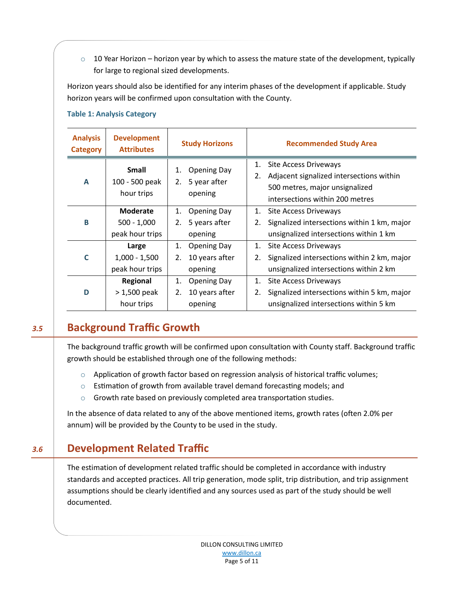$\circ$  10 Year Horizon – horizon year by which to assess the mature state of the development, typically for large to regional sized developments.

Horizon years should also be identified for any interim phases of the development if applicable. Study horizon years will be confirmed upon consultation with the County.

| <b>Analysis</b><br><b>Category</b> | <b>Development</b><br><b>Attributes</b>      | <b>Study Horizons</b>                                       | <b>Recommended Study Area</b>                                                                                                                             |
|------------------------------------|----------------------------------------------|-------------------------------------------------------------|-----------------------------------------------------------------------------------------------------------------------------------------------------------|
| A                                  | <b>Small</b><br>100 - 500 peak<br>hour trips | <b>Opening Day</b><br>1.<br>5 year after<br>2.<br>opening   | <b>Site Access Driveways</b><br>1.<br>Adjacent signalized intersections within<br>2.<br>500 metres, major unsignalized<br>intersections within 200 metres |
| B                                  | Moderate<br>$500 - 1,000$<br>peak hour trips | <b>Opening Day</b><br>1.<br>5 years after<br>2.<br>opening  | <b>Site Access Driveways</b><br>1.<br>Signalized intersections within 1 km, major<br>2.<br>unsignalized intersections within 1 km                         |
| C                                  | Large<br>$1,000 - 1,500$<br>peak hour trips  | <b>Opening Day</b><br>1.<br>10 years after<br>2.<br>opening | <b>Site Access Driveways</b><br>1.<br>Signalized intersections within 2 km, major<br>2.<br>unsignalized intersections within 2 km                         |
| D                                  | Regional<br>$>1,500$ peak<br>hour trips      | <b>Opening Day</b><br>1.<br>10 years after<br>2.<br>opening | Site Access Driveways<br>1.<br>Signalized intersections within 5 km, major<br>2.<br>unsignalized intersections within 5 km                                |

#### **Table 1: Analysis Category**

## **3.5** Background Traffic Growth

The background traffic growth will be confirmed upon consultation with County staff. Background traffic growth should be established through one of the following methods:

- $\circ$  Application of growth factor based on regression analysis of historical traffic volumes;
- $\circ$  Estimation of growth from available travel demand forecasting models; and
- $\circ$  Growth rate based on previously completed area transportation studies.

In the absence of data related to any of the above mentioned items, growth rates (often 2.0% per annum) will be provided by the County to be used in the study.

### *3.6* **Development Related Traffic** 3.6 Development Related Traffic

The estimation of development related traffic should be completed in accordance with industry standards and accepted practices. All trip generation, mode split, trip distribution, and trip assignment assumptions should be clearly identified and any sources used as part of the study should be well documented.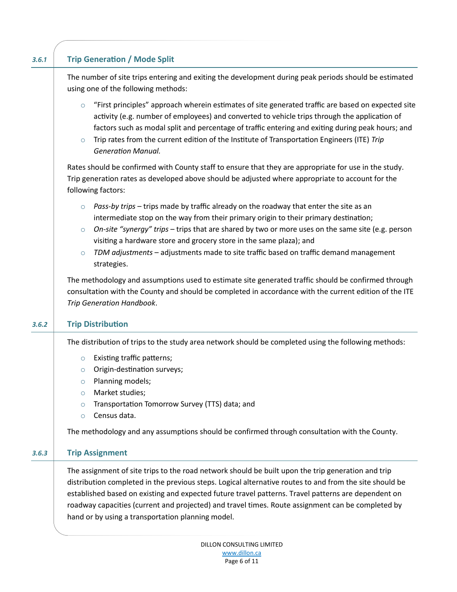| 3.6.1 | <b>Trip Generation / Mode Split</b>                                                                                                                                                                                                                                                                                                                                                                                                                                                                 |
|-------|-----------------------------------------------------------------------------------------------------------------------------------------------------------------------------------------------------------------------------------------------------------------------------------------------------------------------------------------------------------------------------------------------------------------------------------------------------------------------------------------------------|
|       | The number of site trips entering and exiting the development during peak periods should be estimated<br>using one of the following methods:                                                                                                                                                                                                                                                                                                                                                        |
|       | "First principles" approach wherein estimates of site generated traffic are based on expected site<br>$\circ$<br>activity (e.g. number of employees) and converted to vehicle trips through the application of<br>factors such as modal split and percentage of traffic entering and exiting during peak hours; and<br>Trip rates from the current edition of the Institute of Transportation Engineers (ITE) Trip<br>$\circ$<br><b>Generation Manual.</b>                                          |
|       | Rates should be confirmed with County staff to ensure that they are appropriate for use in the study.<br>Trip generation rates as developed above should be adjusted where appropriate to account for the<br>following factors:                                                                                                                                                                                                                                                                     |
|       | Pass-by trips - trips made by traffic already on the roadway that enter the site as an<br>$\circ$<br>intermediate stop on the way from their primary origin to their primary destination;<br>On-site "synergy" trips - trips that are shared by two or more uses on the same site (e.g. person<br>$\circ$<br>visiting a hardware store and grocery store in the same plaza); and<br>TDM adjustments - adjustments made to site traffic based on traffic demand management<br>$\circ$<br>strategies. |
|       | The methodology and assumptions used to estimate site generated traffic should be confirmed through<br>consultation with the County and should be completed in accordance with the current edition of the ITE<br>Trip Generation Handbook.                                                                                                                                                                                                                                                          |
| 3.6.2 | <b>Trip Distribution</b>                                                                                                                                                                                                                                                                                                                                                                                                                                                                            |
|       | The distribution of trips to the study area network should be completed using the following methods:<br><b>Existing traffic patterns;</b><br>$\circ$<br>Origin-destination surveys;<br>$\circ$<br>Planning models;<br>$\circ$<br>Market studies;<br>$\circ$                                                                                                                                                                                                                                         |
|       | Transportation Tomorrow Survey (TTS) data; and<br>$\circ$<br>Census data.<br>$\circ$                                                                                                                                                                                                                                                                                                                                                                                                                |
|       | The methodology and any assumptions should be confirmed through consultation with the County.                                                                                                                                                                                                                                                                                                                                                                                                       |
| 3.6.3 | <b>Trip Assignment</b>                                                                                                                                                                                                                                                                                                                                                                                                                                                                              |
|       | The assignment of site trips to the road network should be built upon the trip generation and trip<br>distribution completed in the previous steps. Logical alternative routes to and from the site should be<br>established based on existing and expected future travel patterns. Travel patterns are dependent on<br>roadway capacities (current and projected) and travel times. Route assignment can be completed by                                                                           |

hand or by using a transportation planning model.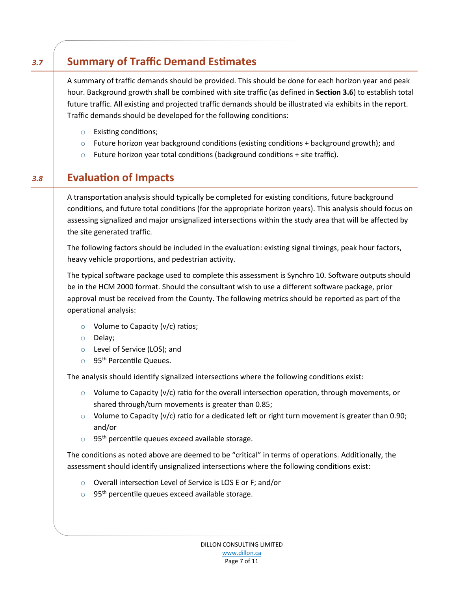# *3.7* Summary of Traffic Demand Estimates

A summary of traffic demands should be provided. This should be done for each horizon year and peak hour. Background growth shall be combined with site traffic (as defined in **Section 3.6**) to establish total future traffic. All existing and projected traffic demands should be illustrated via exhibits in the report. Traffic demands should be developed for the following conditions:

- o Existing conditions;
- $\circ$  Future horizon year background conditions (existing conditions + background growth); and
- $\circ$  Future horizon year total conditions (background conditions + site traffic).

### *3.8* **Evaluation of Impacts** 3.8 Evaluation of Impacts

A transportation analysis should typically be completed for existing conditions, future background conditions, and future total conditions (for the appropriate horizon years). This analysis should focus on assessing signalized and major unsignalized intersections within the study area that will be affected by the site generated traffic.

The following factors should be included in the evaluation: existing signal timings, peak hour factors, heavy vehicle proportions, and pedestrian activity.

The typical software package used to complete this assessment is Synchro 10. Software outputs should be in the HCM 2000 format. Should the consultant wish to use a different software package, prior approval must be received from the County. The following metrics should be reported as part of the operational analysis:

- $\circ$  Volume to Capacity (v/c) ratios;
- o Delay;
- o Level of Service (LOS); and
- $\circ$  95<sup>th</sup> Percentile Queues.

The analysis should identify signalized intersections where the following conditions exist:

- $\circ$  Volume to Capacity (v/c) ratio for the overall intersection operation, through movements, or shared through/turn movements is greater than 0.85;
- $\circ$  Volume to Capacity (v/c) ratio for a dedicated left or right turn movement is greater than 0.90; and/or
- $\circ$  95<sup>th</sup> percentile queues exceed available storage.

The conditions as noted above are deemed to be "critical" in terms of operations. Additionally, the assessment should identify unsignalized intersections where the following conditions exist:

- o Overall intersection Level of Service is LOS E or F; and/or
- $\circ$  95<sup>th</sup> percentile queues exceed available storage.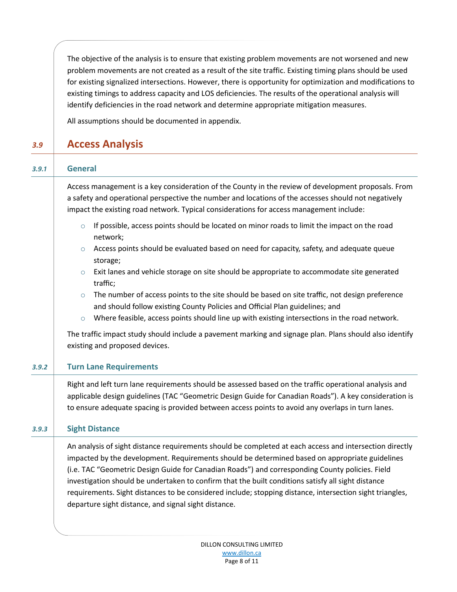The objective of the analysis is to ensure that existing problem movements are not worsened and new problem movements are not created as a result of the site traffic. Existing timing plans should be used for existing signalized intersections. However, there is opportunity for optimization and modifications to existing timings to address capacity and LOS deficiencies. The results of the operational analysis will identify deficiencies in the road network and determine appropriate mitigation measures.

All assumptions should be documented in appendix.

## *3.9* **Access Analysis** 3.9 Access Analysis

| 3.9.1 | <b>General</b><br>Access management is a key consideration of the County in the review of development proposals. From<br>a safety and operational perspective the number and locations of the accesses should not negatively<br>impact the existing road network. Typical considerations for access management include:                                                                                                                                                                                                                                                                |  |  |
|-------|----------------------------------------------------------------------------------------------------------------------------------------------------------------------------------------------------------------------------------------------------------------------------------------------------------------------------------------------------------------------------------------------------------------------------------------------------------------------------------------------------------------------------------------------------------------------------------------|--|--|
|       |                                                                                                                                                                                                                                                                                                                                                                                                                                                                                                                                                                                        |  |  |
|       | If possible, access points should be located on minor roads to limit the impact on the road<br>$\circ$<br>network;                                                                                                                                                                                                                                                                                                                                                                                                                                                                     |  |  |
|       | Access points should be evaluated based on need for capacity, safety, and adequate queue<br>$\circ$<br>storage;                                                                                                                                                                                                                                                                                                                                                                                                                                                                        |  |  |
|       | Exit lanes and vehicle storage on site should be appropriate to accommodate site generated<br>$\circ$<br>traffic;                                                                                                                                                                                                                                                                                                                                                                                                                                                                      |  |  |
|       | The number of access points to the site should be based on site traffic, not design preference<br>$\circ$<br>and should follow existing County Policies and Official Plan guidelines; and                                                                                                                                                                                                                                                                                                                                                                                              |  |  |
|       | Where feasible, access points should line up with existing intersections in the road network.<br>$\circ$                                                                                                                                                                                                                                                                                                                                                                                                                                                                               |  |  |
|       | The traffic impact study should include a pavement marking and signage plan. Plans should also identify<br>existing and proposed devices.                                                                                                                                                                                                                                                                                                                                                                                                                                              |  |  |
| 3.9.2 | <b>Turn Lane Requirements</b>                                                                                                                                                                                                                                                                                                                                                                                                                                                                                                                                                          |  |  |
|       | Right and left turn lane requirements should be assessed based on the traffic operational analysis and<br>applicable design guidelines (TAC "Geometric Design Guide for Canadian Roads"). A key consideration is<br>to ensure adequate spacing is provided between access points to avoid any overlaps in turn lanes.                                                                                                                                                                                                                                                                  |  |  |
| 3.9.3 | <b>Sight Distance</b>                                                                                                                                                                                                                                                                                                                                                                                                                                                                                                                                                                  |  |  |
|       | An analysis of sight distance requirements should be completed at each access and intersection directly<br>impacted by the development. Requirements should be determined based on appropriate guidelines<br>(i.e. TAC "Geometric Design Guide for Canadian Roads") and corresponding County policies. Field<br>investigation should be undertaken to confirm that the built conditions satisfy all sight distance<br>requirements. Sight distances to be considered include; stopping distance, intersection sight triangles,<br>departure sight distance, and signal sight distance. |  |  |
|       |                                                                                                                                                                                                                                                                                                                                                                                                                                                                                                                                                                                        |  |  |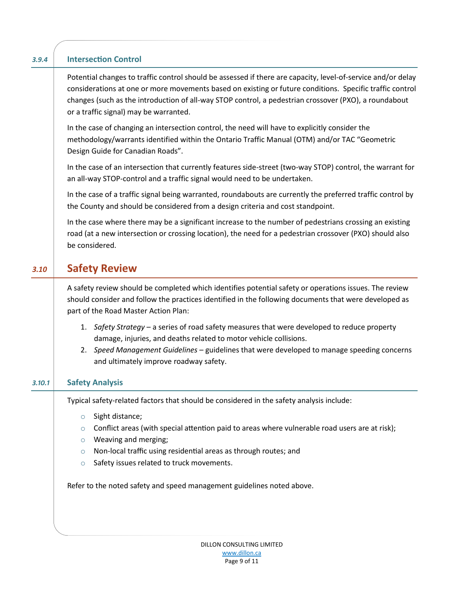| 3.9.4  | <b>Intersection Control</b>                                                                                                                                                                                                                                                                                                                                                 |
|--------|-----------------------------------------------------------------------------------------------------------------------------------------------------------------------------------------------------------------------------------------------------------------------------------------------------------------------------------------------------------------------------|
|        | Potential changes to traffic control should be assessed if there are capacity, level-of-service and/or delay<br>considerations at one or more movements based on existing or future conditions. Specific traffic control<br>changes (such as the introduction of all-way STOP control, a pedestrian crossover (PXO), a roundabout<br>or a traffic signal) may be warranted. |
|        | In the case of changing an intersection control, the need will have to explicitly consider the<br>methodology/warrants identified within the Ontario Traffic Manual (OTM) and/or TAC "Geometric<br>Design Guide for Canadian Roads".                                                                                                                                        |
|        | In the case of an intersection that currently features side-street (two-way STOP) control, the warrant for<br>an all-way STOP-control and a traffic signal would need to be undertaken.                                                                                                                                                                                     |
|        | In the case of a traffic signal being warranted, roundabouts are currently the preferred traffic control by<br>the County and should be considered from a design criteria and cost standpoint.                                                                                                                                                                              |
|        | In the case where there may be a significant increase to the number of pedestrians crossing an existing<br>road (at a new intersection or crossing location), the need for a pedestrian crossover (PXO) should also<br>be considered.                                                                                                                                       |
| 3.10   | <b>Safety Review</b>                                                                                                                                                                                                                                                                                                                                                        |
|        | A safety review should be completed which identifies potential safety or operations issues. The review<br>should consider and follow the practices identified in the following documents that were developed as<br>part of the Road Master Action Plan:                                                                                                                     |
|        | 1. Safety Strategy - a series of road safety measures that were developed to reduce property<br>damage, injuries, and deaths related to motor vehicle collisions.<br>2. Speed Management Guidelines - guidelines that were developed to manage speeding concerns                                                                                                            |
|        | and ultimately improve roadway safety.                                                                                                                                                                                                                                                                                                                                      |
| 3.10.1 | <b>Safety Analysis</b>                                                                                                                                                                                                                                                                                                                                                      |
|        | Typical safety-related factors that should be considered in the safety analysis include:                                                                                                                                                                                                                                                                                    |
|        | Sight distance;<br>$\circ$                                                                                                                                                                                                                                                                                                                                                  |

- $\circ$  Conflict areas (with special attention paid to areas where vulnerable road users are at risk);
- o Weaving and merging;
- o Non-local traffic using residential areas as through routes; and
- $\circ$  Safety issues related to truck movements.

Refer to the noted safety and speed management guidelines noted above.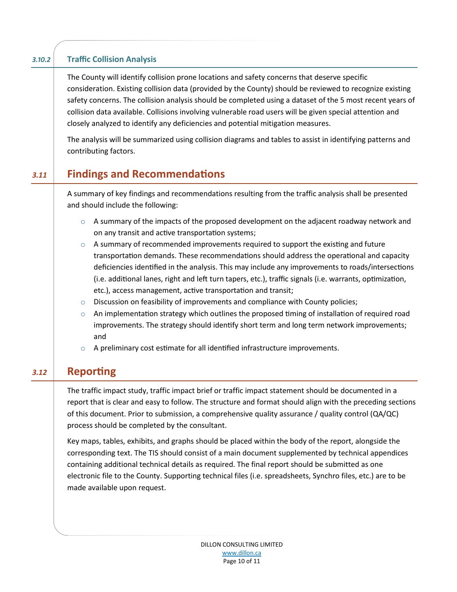#### *3.10.2* **Traffic Collision Analysis** 3.10.2 Traffic Collision Analysis

The County will identify collision prone locations and safety concerns that deserve specific consideration. Existing collision data (provided by the County) should be reviewed to recognize existing safety concerns. The collision analysis should be completed using a dataset of the 5 most recent years of collision data available. Collisions involving vulnerable road users will be given special attention and closely analyzed to identify any deficiencies and potential mitigation measures.

The analysis will be summarized using collision diagrams and tables to assist in identifying patterns and contributing factors.

### *3.11* **Findings and Recommendations** 3.11 Findings and Recommendations

A summary of key findings and recommendations resulting from the traffic analysis shall be presented and should include the following:

- $\circ$  A summary of the impacts of the proposed development on the adjacent roadway network and on any transit and active transportation systems;
- $\circ$  A summary of recommended improvements required to support the existing and future transportation demands. These recommendations should address the operational and capacity deficiencies identified in the analysis. This may include any improvements to roads/intersections (i.e. additional lanes, right and left turn tapers, etc.), traffic signals (i.e. warrants, optimization, etc.), access management, active transportation and transit;
- $\circ$  Discussion on feasibility of improvements and compliance with County policies;
- $\circ$  An implementation strategy which outlines the proposed timing of installation of required road improvements. The strategy should identify short term and long term network improvements; and
- o A preliminary cost estimate for all identified infrastructure improvements.

# **8.12** Reporting

The traffic impact study, traffic impact brief or traffic impact statement should be documented in a report that is clear and easy to follow. The structure and format should align with the preceding sections of this document. Prior to submission, a comprehensive quality assurance / quality control (QA/QC) process should be completed by the consultant.

Key maps, tables, exhibits, and graphs should be placed within the body of the report, alongside the corresponding text. The TIS should consist of a main document supplemented by technical appendices containing additional technical details as required. The final report should be submitted as one electronic file to the County. Supporting technical files (i.e. spreadsheets, Synchro files, etc.) are to be made available upon request.